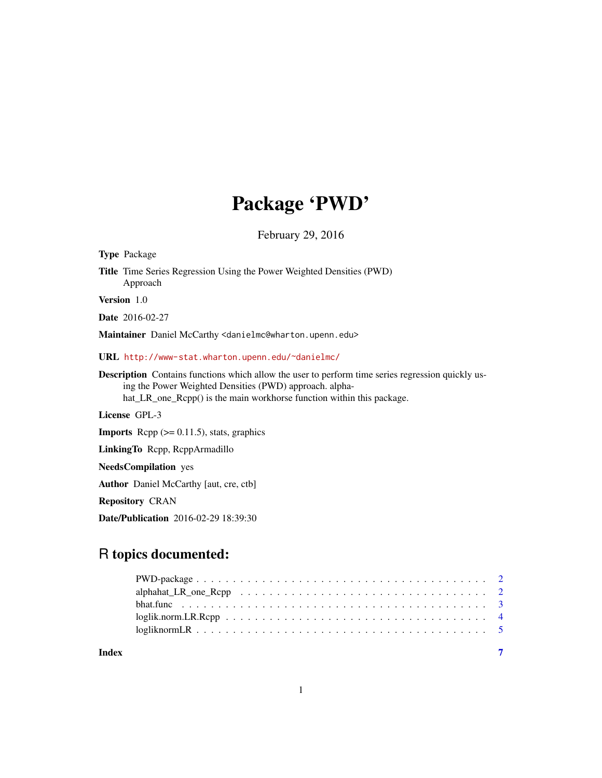# Package 'PWD'

February 29, 2016

| <b>Type Package</b>                                                                                                                                                                                                                          |
|----------------------------------------------------------------------------------------------------------------------------------------------------------------------------------------------------------------------------------------------|
| <b>Title</b> Time Series Regression Using the Power Weighted Densities (PWD)<br>Approach                                                                                                                                                     |
| Version 1.0                                                                                                                                                                                                                                  |
| <b>Date</b> 2016-02-27                                                                                                                                                                                                                       |
| Maintainer Daniel McCarthy <danielmc@wharton.upenn.edu></danielmc@wharton.upenn.edu>                                                                                                                                                         |
| URL http://www-stat.wharton.upenn.edu/~danielmc/                                                                                                                                                                                             |
| <b>Description</b> Contains functions which allow the user to perform time series regression quickly us-<br>ing the Power Weighted Densities (PWD) approach. alpha-<br>hat_LR_one_Rcpp() is the main workhorse function within this package. |
| License GPL-3                                                                                                                                                                                                                                |
| <b>Imports</b> Repp $(>= 0.11.5)$ , stats, graphics                                                                                                                                                                                          |
| LinkingTo Repp, ReppArmadillo                                                                                                                                                                                                                |
| <b>NeedsCompilation</b> yes                                                                                                                                                                                                                  |
| <b>Author</b> Daniel McCarthy [aut, cre, ctb]                                                                                                                                                                                                |
| <b>Repository CRAN</b>                                                                                                                                                                                                                       |
| <b>Date/Publication</b> 2016-02-29 18:39:30                                                                                                                                                                                                  |
|                                                                                                                                                                                                                                              |

# R topics documented:

|       | $loglik.norm.LR.Ropp \ldots \ldots \ldots \ldots \ldots \ldots \ldots \ldots \ldots \ldots \ldots$ |  |
|-------|----------------------------------------------------------------------------------------------------|--|
|       |                                                                                                    |  |
| Index |                                                                                                    |  |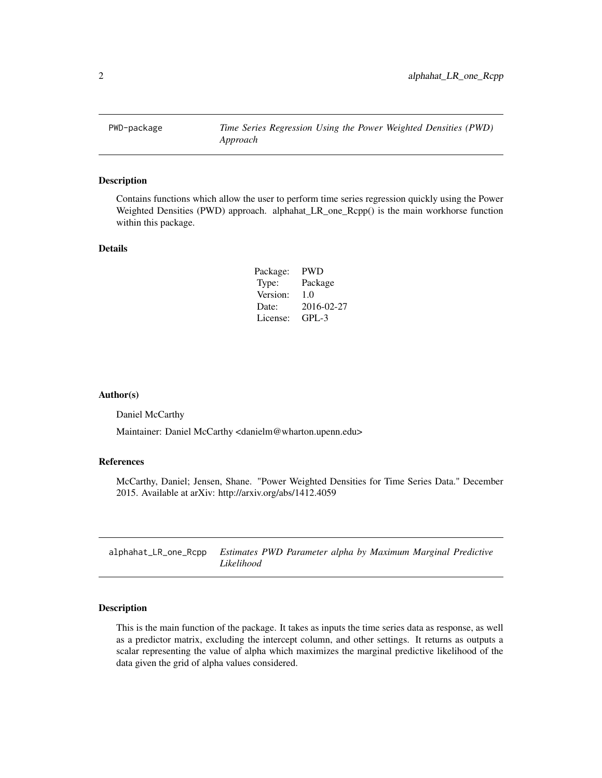<span id="page-1-0"></span>PWD-package *Time Series Regression Using the Power Weighted Densities (PWD) Approach*

#### Description

Contains functions which allow the user to perform time series regression quickly using the Power Weighted Densities (PWD) approach. alphahat\_LR\_one\_Rcpp() is the main workhorse function within this package.

# Details

| Package: | <b>PWD</b> |
|----------|------------|
| Type:    | Package    |
| Version: | 1.0        |
| Date:    | 2016-02-27 |
| License: | $GPI - 3$  |

#### Author(s)

Daniel McCarthy

Maintainer: Daniel McCarthy <danielm@wharton.upenn.edu>

#### References

McCarthy, Daniel; Jensen, Shane. "Power Weighted Densities for Time Series Data." December 2015. Available at arXiv: http://arxiv.org/abs/1412.4059

| alphahat_LR_one_Rcpp Estimates PWD Parameter alpha by Maximum Marginal Predictive |            |  |  |  |
|-----------------------------------------------------------------------------------|------------|--|--|--|
|                                                                                   | Likelihood |  |  |  |

# Description

This is the main function of the package. It takes as inputs the time series data as response, as well as a predictor matrix, excluding the intercept column, and other settings. It returns as outputs a scalar representing the value of alpha which maximizes the marginal predictive likelihood of the data given the grid of alpha values considered.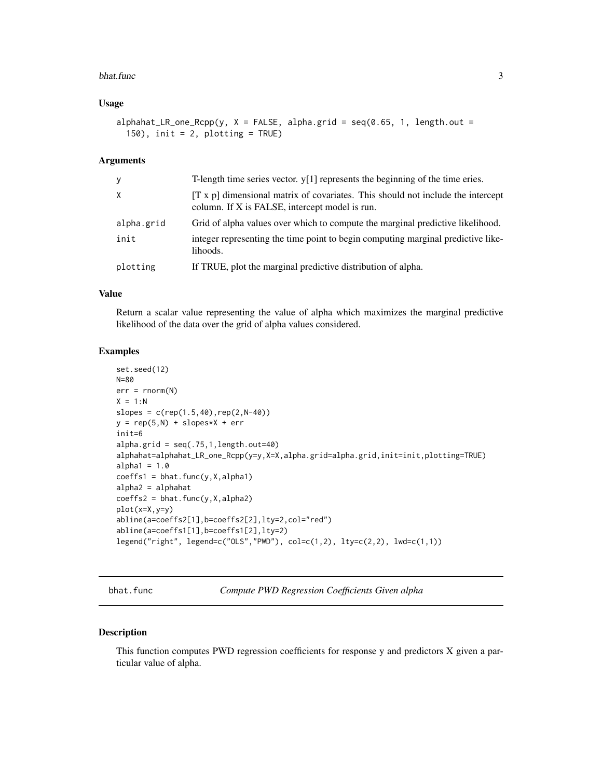#### <span id="page-2-0"></span>bhat.func 3

#### Usage

alphahat\_LR\_one\_Rcpp(y,  $X = FALSE$ , alpha.grid = seq(0.65, 1, length.out = 150), init = 2, plotting = TRUE)

#### Arguments

| У          | T-length time series vector. $y[1]$ represents the beginning of the time eries.                                                          |
|------------|------------------------------------------------------------------------------------------------------------------------------------------|
| X          | $[T \times p]$ dimensional matrix of covariates. This should not include the intercept<br>column. If X is FALSE, intercept model is run. |
| alpha.grid | Grid of alpha values over which to compute the marginal predictive likelihood.                                                           |
| init       | integer representing the time point to begin computing marginal predictive like-<br>lihoods.                                             |
| plotting   | If TRUE, plot the marginal predictive distribution of alpha.                                                                             |

#### Value

Return a scalar value representing the value of alpha which maximizes the marginal predictive likelihood of the data over the grid of alpha values considered.

# Examples

```
set.seed(12)
N=80
err = rnorm(N)X = 1:Nslopes = c(rep(1.5,40),rep(2,N-40))y = rep(5,N) + slopes*X + errinit=6
alpha.grid = seq(.75,1,length.out=40)alphahat=alphahat_LR_one_Rcpp(y=y,X=X,alpha.grid=alpha.grid,init=init,plotting=TRUE)
alpha1 = 1.0coeffs1 = bhat.func(y,X,alpha1)alpha2 = alphahat
coeffs2 = bhat.func(y,X,alpha2)plot(x=X,y=y)
abline(a=coeffs2[1],b=coeffs2[2],lty=2,col="red")
abline(a=coeffs1[1],b=coeffs1[2],lty=2)
legend("right", legend=c("OLS","PWD"), col=c(1,2), lty=c(2,2), lwd=c(1,1))
```
bhat.func *Compute PWD Regression Coefficients Given alpha*

# Description

This function computes PWD regression coefficients for response y and predictors X given a particular value of alpha.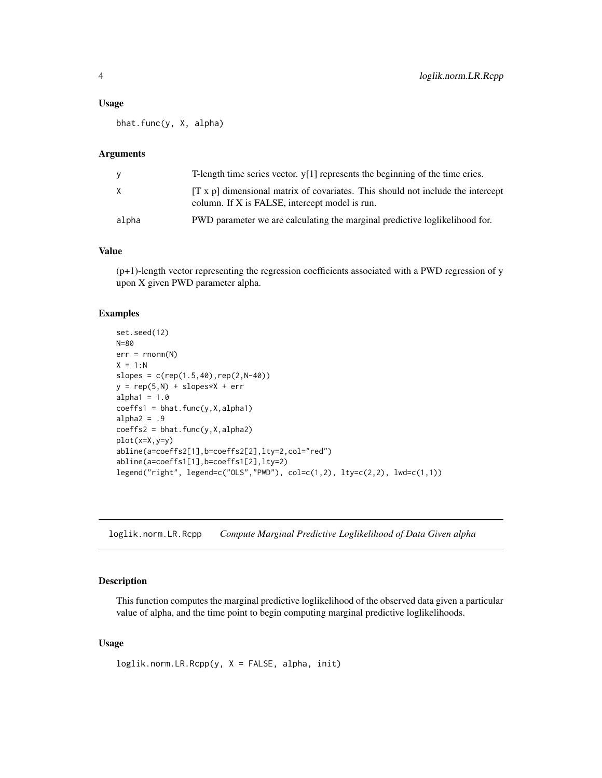#### <span id="page-3-0"></span>Usage

bhat.func(y, X, alpha)

#### Arguments

| <b>V</b> | T-length time series vector. $y[1]$ represents the beginning of the time eries.                                                     |
|----------|-------------------------------------------------------------------------------------------------------------------------------------|
| X        | $[T x p]$ dimensional matrix of covariates. This should not include the intercept<br>column. If X is FALSE, intercept model is run. |
| alpha    | PWD parameter we are calculating the marginal predictive loglikelihood for.                                                         |

#### Value

 $(p+1)$ -length vector representing the regression coefficients associated with a PWD regression of y upon X given PWD parameter alpha.

#### Examples

```
set.seed(12)
N=80
err = rnorm(N)X = 1:Nslopes = c(rep(1.5, 40), rep(2, N-40))y = rep(5,N) + slopes*X + erralpha1 = 1.0coeffs1 = bhat.func(y,X,alpha1)alpha2 = .9coeffs2 = bhat.func(y,X,alpha2)plot(x=X,y=y)
abline(a=coeffs2[1],b=coeffs2[2],lty=2,col="red")
abline(a=coeffs1[1],b=coeffs1[2],lty=2)
legend("right", legend=c("OLS","PWD"), col=c(1,2), lty=c(2,2), lwd=c(1,1))
```
loglik.norm.LR.Rcpp *Compute Marginal Predictive Loglikelihood of Data Given alpha*

#### Description

This function computes the marginal predictive loglikelihood of the observed data given a particular value of alpha, and the time point to begin computing marginal predictive loglikelihoods.

# Usage

```
loglik.norm.LR.Rcpp(y, X = FALSE, alpha, init)
```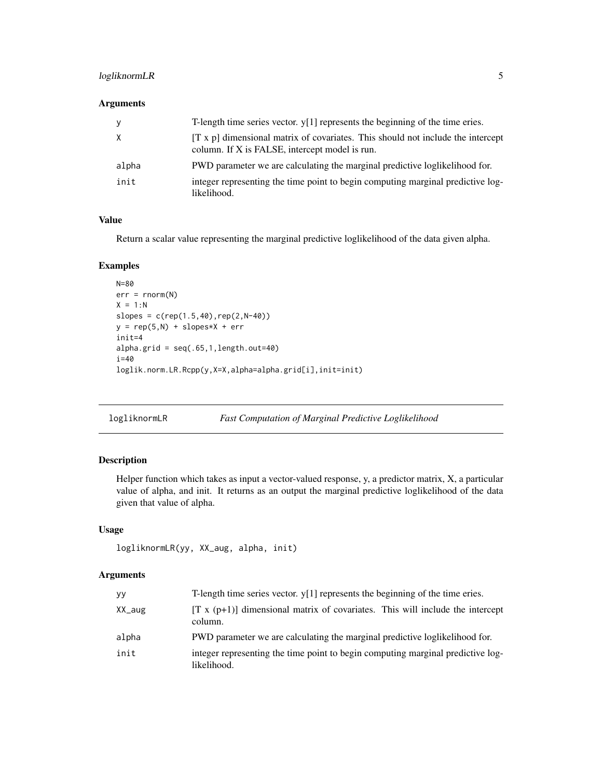# <span id="page-4-0"></span>logliknormLR 5

# Arguments

| У     | T-length time series vector. $y[1]$ represents the beginning of the time eries.                                                          |
|-------|------------------------------------------------------------------------------------------------------------------------------------------|
| X     | $[T \times p]$ dimensional matrix of covariates. This should not include the intercept<br>column. If X is FALSE, intercept model is run. |
| alpha | PWD parameter we are calculating the marginal predictive logilikelihood for.                                                             |
| init  | integer representing the time point to begin computing marginal predictive log-<br>likelihood.                                           |

#### Value

Return a scalar value representing the marginal predictive loglikelihood of the data given alpha.

# Examples

```
N=80
err = rnorm(N)X = 1:Nslopes = c(rep(1.5, 40), rep(2, N-40))y = rep(5,N) + slopes*X + errinit=4
alpha.grid = seq(.65,1,length.out=40)
i=40
loglik.norm.LR.Rcpp(y,X=X,alpha=alpha.grid[i],init=init)
```
logliknormLR *Fast Computation of Marginal Predictive Loglikelihood*

# Description

Helper function which takes as input a vector-valued response, y, a predictor matrix, X, a particular value of alpha, and init. It returns as an output the marginal predictive loglikelihood of the data given that value of alpha.

### Usage

```
logliknormLR(yy, XX_aug, alpha, init)
```
#### Arguments

| уy        | T-length time series vector. $y[1]$ represents the beginning of the time eries.                |
|-----------|------------------------------------------------------------------------------------------------|
| $XX_$ aug | $[T x (p+1)]$ dimensional matrix of covariates. This will include the intercept<br>column.     |
| alpha     | PWD parameter we are calculating the marginal predictive loglikelihood for.                    |
| init      | integer representing the time point to begin computing marginal predictive log-<br>likelihood. |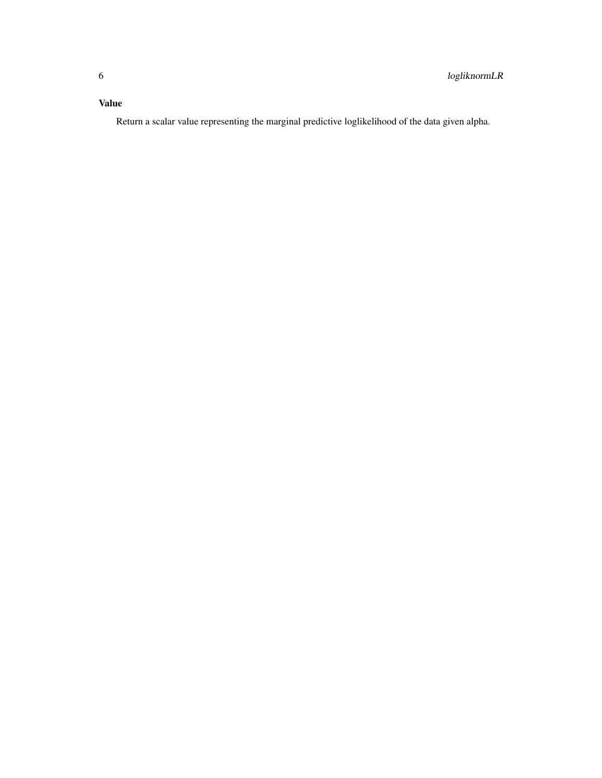# Value

Return a scalar value representing the marginal predictive loglikelihood of the data given alpha.